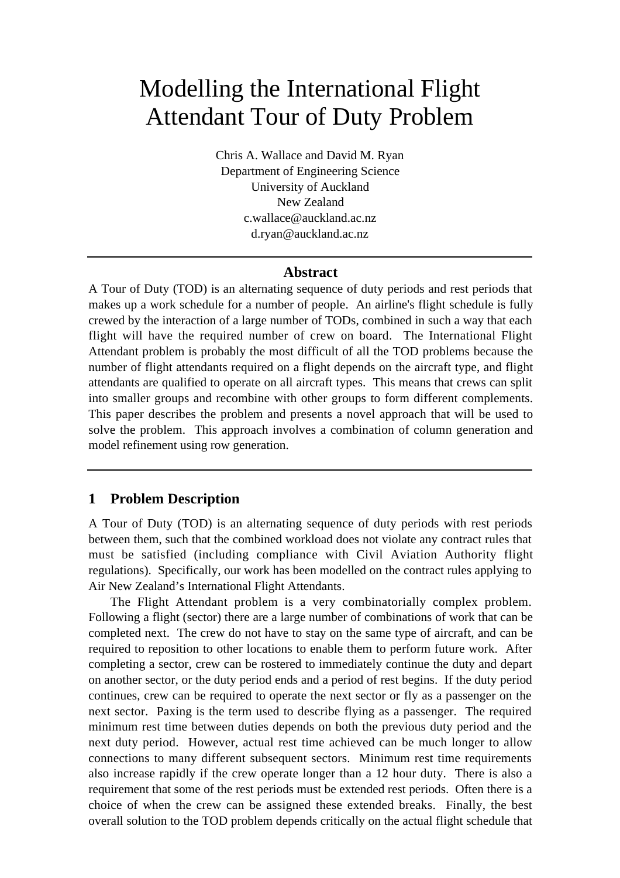# Modelling the International Flight Attendant Tour of Duty Problem

Chris A. Wallace and David M. Ryan Department of Engineering Science University of Auckland New Zealand c.wallace@auckland.ac.nz d.ryan@auckland.ac.nz

#### **Abstract**

A Tour of Duty (TOD) is an alternating sequence of duty periods and rest periods that makes up a work schedule for a number of people. An airline's flight schedule is fully crewed by the interaction of a large number of TODs, combined in such a way that each flight will have the required number of crew on board. The International Flight Attendant problem is probably the most difficult of all the TOD problems because the number of flight attendants required on a flight depends on the aircraft type, and flight attendants are qualified to operate on all aircraft types. This means that crews can split into smaller groups and recombine with other groups to form different complements. This paper describes the problem and presents a novel approach that will be used to solve the problem. This approach involves a combination of column generation and model refinement using row generation.

### **1 Problem Description**

A Tour of Duty (TOD) is an alternating sequence of duty periods with rest periods between them, such that the combined workload does not violate any contract rules that must be satisfied (including compliance with Civil Aviation Authority flight regulations). Specifically, our work has been modelled on the contract rules applying to Air New Zealand's International Flight Attendants.

The Flight Attendant problem is a very combinatorially complex problem. Following a flight (sector) there are a large number of combinations of work that can be completed next. The crew do not have to stay on the same type of aircraft, and can be required to reposition to other locations to enable them to perform future work. After completing a sector, crew can be rostered to immediately continue the duty and depart on another sector, or the duty period ends and a period of rest begins. If the duty period continues, crew can be required to operate the next sector or fly as a passenger on the next sector. Paxing is the term used to describe flying as a passenger. The required minimum rest time between duties depends on both the previous duty period and the next duty period. However, actual rest time achieved can be much longer to allow connections to many different subsequent sectors. Minimum rest time requirements also increase rapidly if the crew operate longer than a 12 hour duty. There is also a requirement that some of the rest periods must be extended rest periods. Often there is a choice of when the crew can be assigned these extended breaks. Finally, the best overall solution to the TOD problem depends critically on the actual flight schedule that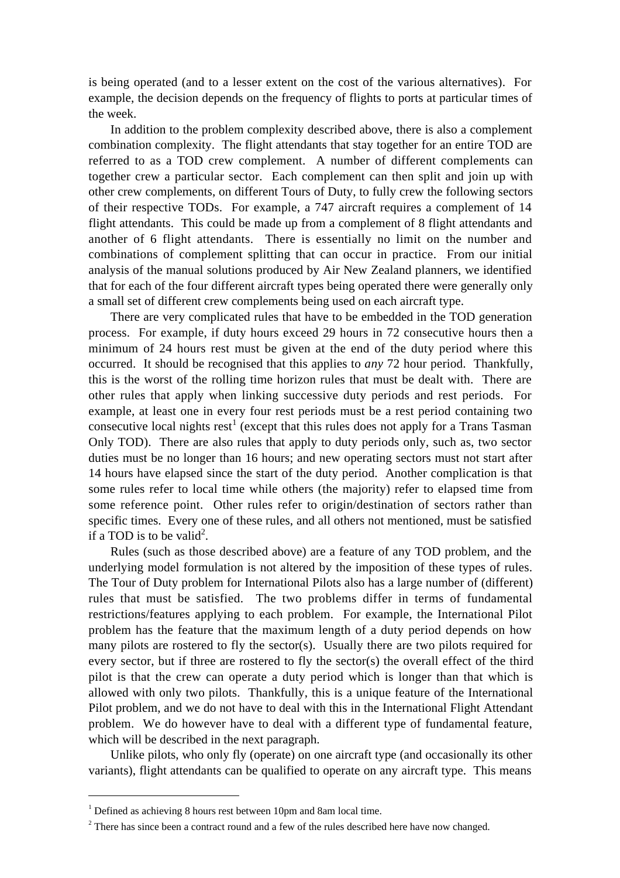is being operated (and to a lesser extent on the cost of the various alternatives). For example, the decision depends on the frequency of flights to ports at particular times of the week.

In addition to the problem complexity described above, there is also a complement combination complexity. The flight attendants that stay together for an entire TOD are referred to as a TOD crew complement. A number of different complements can together crew a particular sector. Each complement can then split and join up with other crew complements, on different Tours of Duty, to fully crew the following sectors of their respective TODs. For example, a 747 aircraft requires a complement of 14 flight attendants. This could be made up from a complement of 8 flight attendants and another of 6 flight attendants. There is essentially no limit on the number and combinations of complement splitting that can occur in practice. From our initial analysis of the manual solutions produced by Air New Zealand planners, we identified that for each of the four different aircraft types being operated there were generally only a small set of different crew complements being used on each aircraft type.

There are very complicated rules that have to be embedded in the TOD generation process. For example, if duty hours exceed 29 hours in 72 consecutive hours then a minimum of 24 hours rest must be given at the end of the duty period where this occurred. It should be recognised that this applies to *any* 72 hour period. Thankfully, this is the worst of the rolling time horizon rules that must be dealt with. There are other rules that apply when linking successive duty periods and rest periods. For example, at least one in every four rest periods must be a rest period containing two consecutive local nights rest<sup>1</sup> (except that this rules does not apply for a Trans Tasman Only TOD). There are also rules that apply to duty periods only, such as, two sector duties must be no longer than 16 hours; and new operating sectors must not start after 14 hours have elapsed since the start of the duty period. Another complication is that some rules refer to local time while others (the majority) refer to elapsed time from some reference point. Other rules refer to origin/destination of sectors rather than specific times. Every one of these rules, and all others not mentioned, must be satisfied if a TOD is to be valid<sup>2</sup>.

Rules (such as those described above) are a feature of any TOD problem, and the underlying model formulation is not altered by the imposition of these types of rules. The Tour of Duty problem for International Pilots also has a large number of (different) rules that must be satisfied. The two problems differ in terms of fundamental restrictions/features applying to each problem. For example, the International Pilot problem has the feature that the maximum length of a duty period depends on how many pilots are rostered to fly the sector(s). Usually there are two pilots required for every sector, but if three are rostered to fly the sector(s) the overall effect of the third pilot is that the crew can operate a duty period which is longer than that which is allowed with only two pilots. Thankfully, this is a unique feature of the International Pilot problem, and we do not have to deal with this in the International Flight Attendant problem. We do however have to deal with a different type of fundamental feature, which will be described in the next paragraph.

Unlike pilots, who only fly (operate) on one aircraft type (and occasionally its other variants), flight attendants can be qualified to operate on any aircraft type. This means

 $\overline{a}$ 

<sup>&</sup>lt;sup>1</sup> Defined as achieving 8 hours rest between 10pm and 8am local time.

 $2^2$  There has since been a contract round and a few of the rules described here have now changed.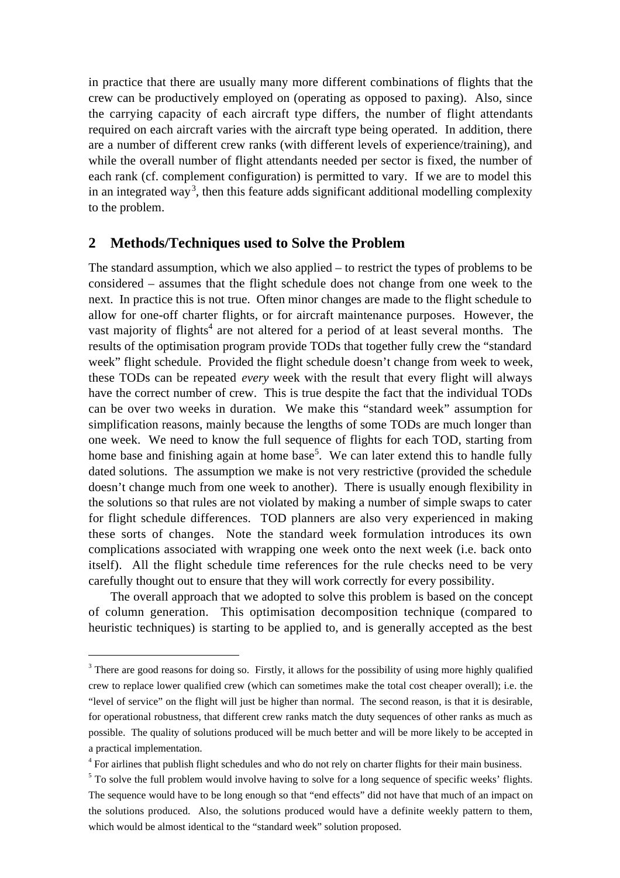in practice that there are usually many more different combinations of flights that the crew can be productively employed on (operating as opposed to paxing). Also, since the carrying capacity of each aircraft type differs, the number of flight attendants required on each aircraft varies with the aircraft type being operated. In addition, there are a number of different crew ranks (with different levels of experience/training), and while the overall number of flight attendants needed per sector is fixed, the number of each rank (cf. complement configuration) is permitted to vary. If we are to model this in an integrated way<sup>3</sup>, then this feature adds significant additional modelling complexity to the problem.

#### **2 Methods/Techniques used to Solve the Problem**

The standard assumption, which we also applied – to restrict the types of problems to be considered – assumes that the flight schedule does not change from one week to the next. In practice this is not true. Often minor changes are made to the flight schedule to allow for one-off charter flights, or for aircraft maintenance purposes. However, the vast majority of flights<sup>4</sup> are not altered for a period of at least several months. The results of the optimisation program provide TODs that together fully crew the "standard week" flight schedule. Provided the flight schedule doesn't change from week to week, these TODs can be repeated *every* week with the result that every flight will always have the correct number of crew. This is true despite the fact that the individual TODs can be over two weeks in duration. We make this "standard week" assumption for simplification reasons, mainly because the lengths of some TODs are much longer than one week. We need to know the full sequence of flights for each TOD, starting from home base and finishing again at home base<sup>5</sup>. We can later extend this to handle fully dated solutions. The assumption we make is not very restrictive (provided the schedule doesn't change much from one week to another). There is usually enough flexibility in the solutions so that rules are not violated by making a number of simple swaps to cater for flight schedule differences. TOD planners are also very experienced in making these sorts of changes. Note the standard week formulation introduces its own complications associated with wrapping one week onto the next week (i.e. back onto itself). All the flight schedule time references for the rule checks need to be very carefully thought out to ensure that they will work correctly for every possibility.

The overall approach that we adopted to solve this problem is based on the concept of column generation. This optimisation decomposition technique (compared to heuristic techniques) is starting to be applied to, and is generally accepted as the best

 $\overline{a}$ 

<sup>&</sup>lt;sup>3</sup> There are good reasons for doing so. Firstly, it allows for the possibility of using more highly qualified crew to replace lower qualified crew (which can sometimes make the total cost cheaper overall); i.e. the "level of service" on the flight will just be higher than normal. The second reason, is that it is desirable, for operational robustness, that different crew ranks match the duty sequences of other ranks as much as possible. The quality of solutions produced will be much better and will be more likely to be accepted in a practical implementation.

<sup>&</sup>lt;sup>4</sup> For airlines that publish flight schedules and who do not rely on charter flights for their main business.

 $5$  To solve the full problem would involve having to solve for a long sequence of specific weeks' flights. The sequence would have to be long enough so that "end effects" did not have that much of an impact on the solutions produced. Also, the solutions produced would have a definite weekly pattern to them, which would be almost identical to the "standard week" solution proposed.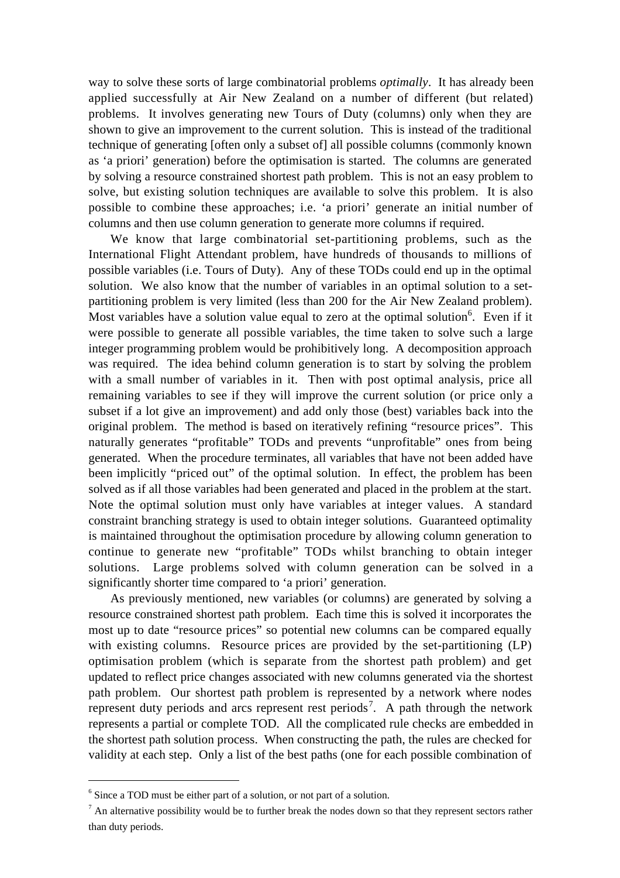way to solve these sorts of large combinatorial problems *optimally*. It has already been applied successfully at Air New Zealand on a number of different (but related) problems. It involves generating new Tours of Duty (columns) only when they are shown to give an improvement to the current solution. This is instead of the traditional technique of generating [often only a subset of] all possible columns (commonly known as 'a priori' generation) before the optimisation is started. The columns are generated by solving a resource constrained shortest path problem. This is not an easy problem to solve, but existing solution techniques are available to solve this problem. It is also possible to combine these approaches; i.e. 'a priori' generate an initial number of columns and then use column generation to generate more columns if required.

We know that large combinatorial set-partitioning problems, such as the International Flight Attendant problem, have hundreds of thousands to millions of possible variables (i.e. Tours of Duty). Any of these TODs could end up in the optimal solution. We also know that the number of variables in an optimal solution to a setpartitioning problem is very limited (less than 200 for the Air New Zealand problem). Most variables have a solution value equal to zero at the optimal solution<sup>6</sup>. Even if it were possible to generate all possible variables, the time taken to solve such a large integer programming problem would be prohibitively long. A decomposition approach was required. The idea behind column generation is to start by solving the problem with a small number of variables in it. Then with post optimal analysis, price all remaining variables to see if they will improve the current solution (or price only a subset if a lot give an improvement) and add only those (best) variables back into the original problem. The method is based on iteratively refining "resource prices". This naturally generates "profitable" TODs and prevents "unprofitable" ones from being generated. When the procedure terminates, all variables that have not been added have been implicitly "priced out" of the optimal solution. In effect, the problem has been solved as if all those variables had been generated and placed in the problem at the start. Note the optimal solution must only have variables at integer values. A standard constraint branching strategy is used to obtain integer solutions. Guaranteed optimality is maintained throughout the optimisation procedure by allowing column generation to continue to generate new "profitable" TODs whilst branching to obtain integer solutions. Large problems solved with column generation can be solved in a significantly shorter time compared to 'a priori' generation.

As previously mentioned, new variables (or columns) are generated by solving a resource constrained shortest path problem. Each time this is solved it incorporates the most up to date "resource prices" so potential new columns can be compared equally with existing columns. Resource prices are provided by the set-partitioning (LP) optimisation problem (which is separate from the shortest path problem) and get updated to reflect price changes associated with new columns generated via the shortest path problem. Our shortest path problem is represented by a network where nodes represent duty periods and arcs represent rest periods<sup>7</sup>. A path through the network represents a partial or complete TOD. All the complicated rule checks are embedded in the shortest path solution process. When constructing the path, the rules are checked for validity at each step. Only a list of the best paths (one for each possible combination of

 $\overline{a}$ 

<sup>&</sup>lt;sup>6</sup> Since a TOD must be either part of a solution, or not part of a solution.

 $<sup>7</sup>$  An alternative possibility would be to further break the nodes down so that they represent sectors rather</sup> than duty periods.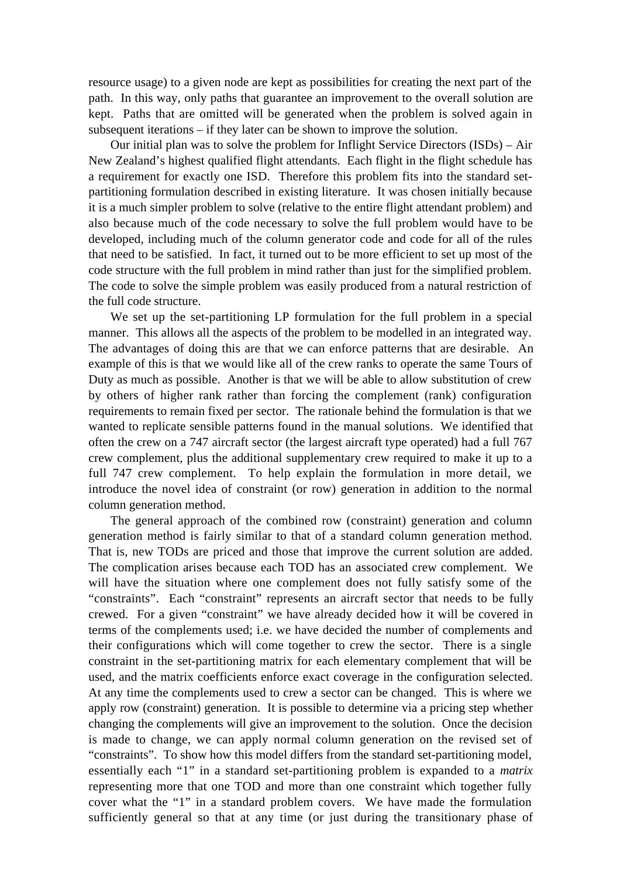resource usage) to a given node are kept as possibilities for creating the next part of the path. In this way, only paths that guarantee an improvement to the overall solution are kept. Paths that are omitted will be generated when the problem is solved again in subsequent iterations – if they later can be shown to improve the solution.

Our initial plan was to solve the problem for Inflight Service Directors (ISDs) – Air New Zealand's highest qualified flight attendants. Each flight in the flight schedule has a requirement for exactly one ISD. Therefore this problem fits into the standard setpartitioning formulation described in existing literature. It was chosen initially because it is a much simpler problem to solve (relative to the entire flight attendant problem) and also because much of the code necessary to solve the full problem would have to be developed, including much of the column generator code and code for all of the rules that need to be satisfied. In fact, it turned out to be more efficient to set up most of the code structure with the full problem in mind rather than just for the simplified problem. The code to solve the simple problem was easily produced from a natural restriction of the full code structure.

We set up the set-partitioning LP formulation for the full problem in a special manner. This allows all the aspects of the problem to be modelled in an integrated way. The advantages of doing this are that we can enforce patterns that are desirable. An example of this is that we would like all of the crew ranks to operate the same Tours of Duty as much as possible. Another is that we will be able to allow substitution of crew by others of higher rank rather than forcing the complement (rank) configuration requirements to remain fixed per sector. The rationale behind the formulation is that we wanted to replicate sensible patterns found in the manual solutions. We identified that often the crew on a 747 aircraft sector (the largest aircraft type operated) had a full 767 crew complement, plus the additional supplementary crew required to make it up to a full 747 crew complement. To help explain the formulation in more detail, we introduce the novel idea of constraint (or row) generation in addition to the normal column generation method.

The general approach of the combined row (constraint) generation and column generation method is fairly similar to that of a standard column generation method. That is, new TODs are priced and those that improve the current solution are added. The complication arises because each TOD has an associated crew complement. We will have the situation where one complement does not fully satisfy some of the "constraints". Each "constraint" represents an aircraft sector that needs to be fully crewed. For a given "constraint" we have already decided how it will be covered in terms of the complements used; i.e. we have decided the number of complements and their configurations which will come together to crew the sector. There is a single constraint in the set-partitioning matrix for each elementary complement that will be used, and the matrix coefficients enforce exact coverage in the configuration selected. At any time the complements used to crew a sector can be changed. This is where we apply row (constraint) generation. It is possible to determine via a pricing step whether changing the complements will give an improvement to the solution. Once the decision is made to change, we can apply normal column generation on the revised set of "constraints". To show how this model differs from the standard set-partitioning model, essentially each "1" in a standard set-partitioning problem is expanded to a *matrix* representing more that one TOD and more than one constraint which together fully cover what the "1" in a standard problem covers. We have made the formulation sufficiently general so that at any time (or just during the transitionary phase of